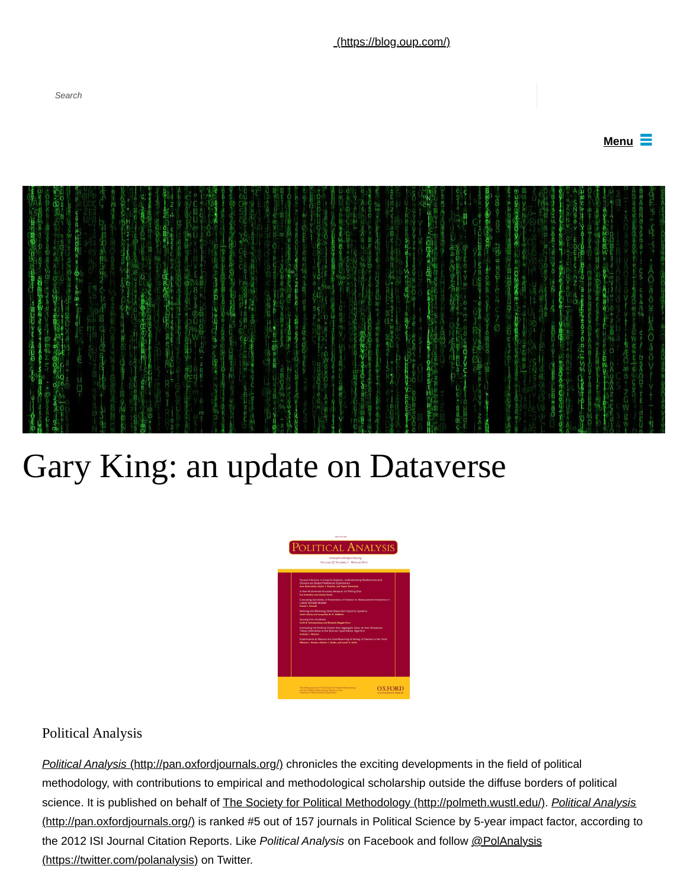

## Gary King: an update on Dataverse



## Political Analysis

*Search*

*Political Analysis* [\(http://pan.oxfordjournals.org/\)](http://pan.oxfordjournals.org/) chronicles the exciting developments in the field of political methodology, with contributions to empirical and methodological scholarship outside the diffuse borders of political science. It is published on behalf of [The Society for Political Methodology \(http://polmeth.wustl.edu/\).](http://polmeth.wustl.edu/) *Political Analysis* [\(http://pan.oxfordjournals.org/\) is ranked #5 out of 157 journals in Political Science by 5-year impact factor, according t](http://pan.oxfordjournals.org/)o [the 2012 ISI Journal Citation Reports. Like](https://twitter.com/polanalysis) *Political Analysis* on Facebook and follow @PolAnalysis (https://twitter.com/polanalysis) on Twitter.

[\(https://blog.oup.com/\)](https://blog.oup.com/)

**Menu**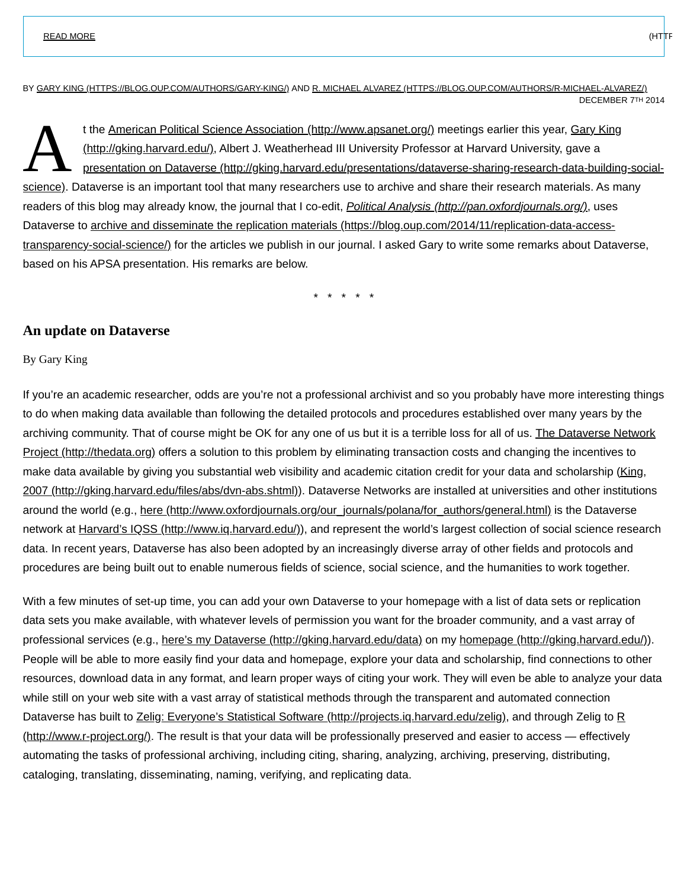BY [GARY KING \(HTTPS://BLOG.OUP.COM/AUTHORS/GARY-KING/\)](https://blog.oup.com/authors/gary-king/) AND [R. MICHAEL ALVAREZ \(HTTPS://BLOG.OUP.COM/AUTHORS/R-MICHAEL-ALVAREZ/\)](https://blog.oup.com/authors/r-michael-alvarez/) DECEMBER 7TH 2014

 $\mathbf{A}$  the present [t the A](http://gking.harvard.edu/)[merican Political Science Association \(http://www.apsanet.org/](http://www.apsanet.org/)[\) meetings earlier this year, Gary King](http://gking.harvard.edu/) (http://gking.harvard.edu/), Albert J. Weatherhead III University Professor at Harvard University, gave a presentation on Dataverse (http://gking.harvard.edu/presentations/dataverse-sharing-research-data-building-social[science\). Dataverse is an important tool that many researchers use to archive and share their research materials. As many](http://gking.harvard.edu/presentations/dataverse-sharing-research-data-building-social-science) readers of this blog may already know, the journal that I co-edit, *[Political Analysis \(http://pan.oxfordjournals.org/\)](http://pan.oxfordjournals.org/)*, uses [Dataverse to archive and disseminate the replication materials \(https://blog.oup.com/2014/11/replication-data-access](https://blog.oup.com/2014/11/replication-data-access-transparency-social-science/)transparency-social-science/) for the articles we publish in our journal. I asked Gary to write some remarks about Dataverse, based on his APSA presentation. His remarks are below.

\* \* \* \* \*

## **An update on Dataverse**

By Gary King

If you're an academic researcher, odds are you're not a professional archivist and so you probably have more interesting things to do when making data available than following the detailed protocols and procedures established over many years by the [archiving community. That of course might be OK for any one of us but it is a terrible loss for all of us. The Dataverse Network](http://thedata.org/) Project (http://thedata.org) offers a solution to this problem by eliminating transaction costs and changing the incentives to [make data available by giving you substantial web visibility and academic citation credit for your data and scholarship \(King,](http://gking.harvard.edu/files/abs/dvn-abs.shtml) 2007 (http://gking.harvard.edu/files/abs/dvn-abs.shtml)). Dataverse Networks are installed at universities and other institutions around the world (e.g., [here \(http://www.oxfordjournals.org/our\\_journals/polana/for\\_authors/general.html\)](http://www.oxfordjournals.org/our_journals/polana/for_authors/general.html) is the Dataverse network at [Harvard's IQSS \(http://www.iq.harvard.edu/\)\)](http://www.iq.harvard.edu/), and represent the world's largest collection of social science research data. In recent years, Dataverse has also been adopted by an increasingly diverse array of other fields and protocols and procedures are being built out to enable numerous fields of science, social science, and the humanities to work together.

With a few minutes of set-up time, you can add your own Dataverse to your homepage with a list of data sets or replication data sets you make available, with whatever levels of permission you want for the broader community, and a vast array of professional services (e.g., [here's my Dataverse \(http://gking.harvard.edu/data\)](http://gking.harvard.edu/data) on my [homepage \(http://gking.harvard.edu/\)](http://gking.harvard.edu/)). People will be able to more easily find your data and homepage, explore your data and scholarship, find connections to other resources, download data in any format, and learn proper ways of citing your work. They will even be able to analyze your data while still on your web site with a vast array of statistical methods through the transparent and automated connection Dataverse has built to [Zelig: Everyone's Statistical Software \(http://projects.iq.harvard.edu/zelig\)](http://projects.iq.harvard.edu/zelig), and through Zelig to R [\(http://www.r-project.org/\). The result is that your data will be professionally preserved and easier to access — effectively](http://www.r-project.org/) automating the tasks of professional archiving, including citing, sharing, analyzing, archiving, preserving, distributing, cataloging, translating, disseminating, naming, verifying, and replicating data.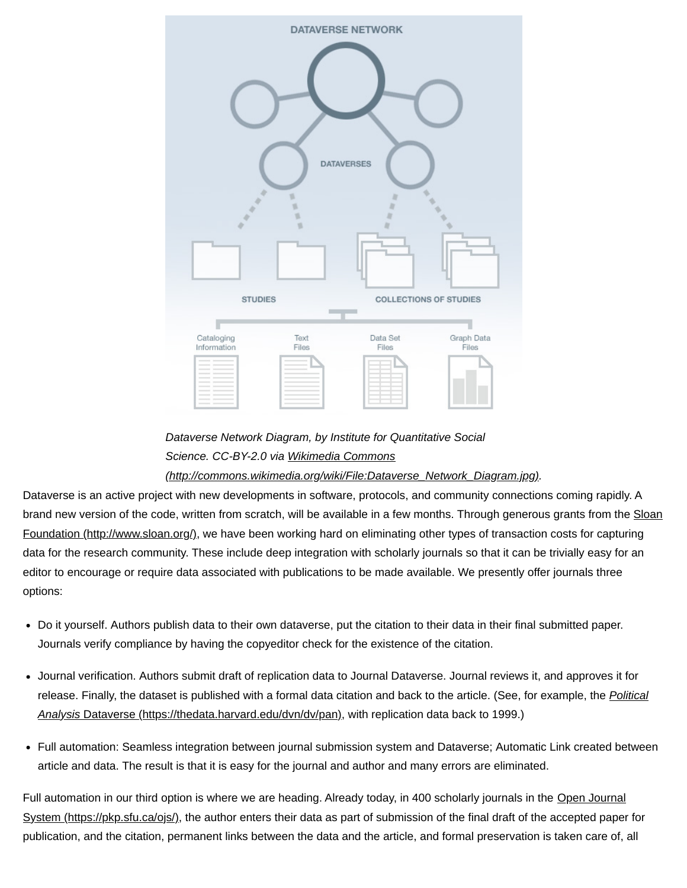

*Dataverse Network Diagram, by Institute for Quantitative Social Science. CC-BY-2.0 via Wikimedia Commons*

## *[\(http://commons.wikimedia.org/wiki/File:Dataverse\\_Network\\_Diagram.jpg\).](http://commons.wikimedia.org/wiki/File:Dataverse_Network_Diagram.jpg)*

Dataverse is an active project with new developments in software, protocols, and community connections coming rapidly. A [brand new version of the code, written from scratch, will be available in a few months. Through generous grants from the Sloan](http://www.sloan.org/) Foundation (http://www.sloan.org/), we have been working hard on eliminating other types of transaction costs for capturing data for the research community. These include deep integration with scholarly journals so that it can be trivially easy for an editor to encourage or require data associated with publications to be made available. We presently offer journals three options:

- Do it yourself. Authors publish data to their own dataverse, put the citation to their data in their final submitted paper. Journals verify compliance by having the copyeditor check for the existence of the citation.
- Journal verification. Authors submit draft of replication data to Journal Dataverse. Journal reviews it, and approves it for [release. Finally, the dataset is published with a formal data citation and back to the article. \(See, for example, the](https://thedata.harvard.edu/dvn/dv/pan) *Political Analysis* Dataverse (https://thedata.harvard.edu/dvn/dv/pan), with replication data back to 1999.)
- Full automation: Seamless integration between journal submission system and Dataverse; Automatic Link created between article and data. The result is that it is easy for the journal and author and many errors are eliminated.

[Full automation in our third option is where we are heading. Already today, in 400 scholarly journals in the Open Journal](https://pkp.sfu.ca/ojs/) System (https://pkp.sfu.ca/ojs/), the author enters their data as part of submission of the final draft of the accepted paper for publication, and the citation, permanent links between the data and the article, and formal preservation is taken care of, all